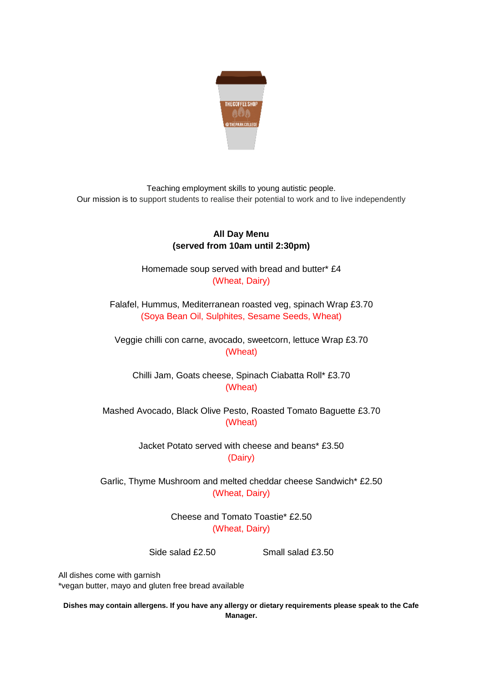

Teaching employment skills to young autistic people. Our mission is to support students to realise their potential to work and to live independently

## **All Day Menu (served from 10am until 2:30pm)**

Homemade soup served with bread and butter\* £4 (Wheat, Dairy)

Falafel, Hummus, Mediterranean roasted veg, spinach Wrap £3.70 (Soya Bean Oil, Sulphites, Sesame Seeds, Wheat)

Veggie chilli con carne, avocado, sweetcorn, lettuce Wrap £3.70 (Wheat)

Chilli Jam, Goats cheese, Spinach Ciabatta Roll\* £3.70 (Wheat)

Mashed Avocado, Black Olive Pesto, Roasted Tomato Baguette £3.70 (Wheat)

> Jacket Potato served with cheese and beans\* £3.50 (Dairy)

Garlic, Thyme Mushroom and melted cheddar cheese Sandwich\* £2.50 (Wheat, Dairy)

> Cheese and Tomato Toastie\* £2.50 (Wheat, Dairy)

Side salad £2.50 Small salad £3.50

All dishes come with garnish \*vegan butter, mayo and gluten free bread available

**Dishes may contain allergens. If you have any allergy or dietary requirements please speak to the Cafe Manager.**